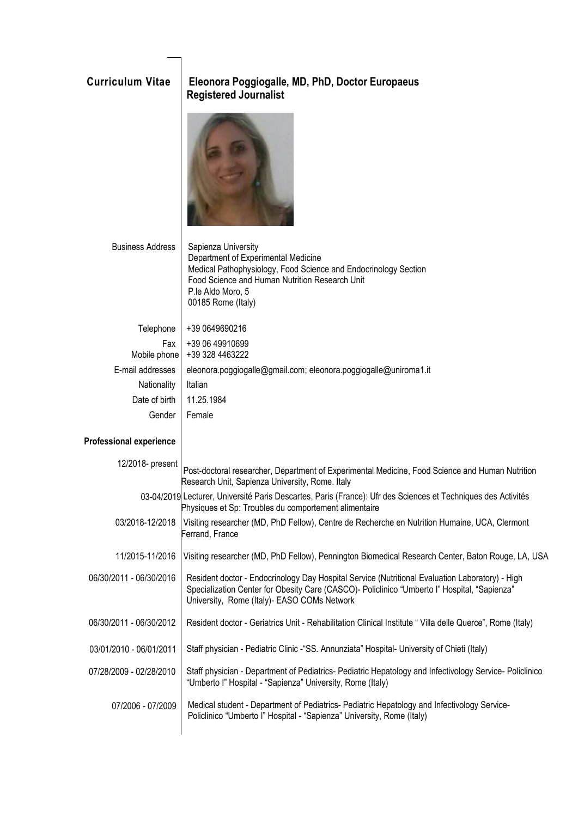## **Curriculum Vitae Eleonora Poggiogalle, MD, PhD, Doctor Europaeus Registered Journalist**



| <b>Business Address</b> | Sapienza University<br>Department of Experimental Medicine<br>Medical Pathophysiology, Food Science and Endocrinology Section<br>Food Science and Human Nutrition Research Unit<br>P.le Aldo Moro, 5<br>00185 Rome (Italy) |
|-------------------------|----------------------------------------------------------------------------------------------------------------------------------------------------------------------------------------------------------------------------|
| Telephone               | +39 0649690216                                                                                                                                                                                                             |
| Fax                     | +39 06 49910699                                                                                                                                                                                                            |
| Mobile phone            | +39 328 4463222                                                                                                                                                                                                            |
| E-mail addresses        | eleonora.poggiogalle@gmail.com; eleonora.poggiogalle@uniroma1.it                                                                                                                                                           |
| Nationality             | Italian                                                                                                                                                                                                                    |
| Date of birth           | 11.25.1984                                                                                                                                                                                                                 |
| Gender                  | Female                                                                                                                                                                                                                     |

## **Professional experience**

| 12/2018- present        | Post-doctoral researcher, Department of Experimental Medicine, Food Science and Human Nutrition<br>Research Unit, Sapienza University, Rome. Italy                                                                                              |  |
|-------------------------|-------------------------------------------------------------------------------------------------------------------------------------------------------------------------------------------------------------------------------------------------|--|
|                         | 03-04/2019 Lecturer, Université Paris Descartes, Paris (France): Ufr des Sciences et Techniques des Activités<br>Physiques et Sp: Troubles du comportement alimentaire                                                                          |  |
| 03/2018-12/2018         | Visiting researcher (MD, PhD Fellow), Centre de Recherche en Nutrition Humaine, UCA, Clermont<br>Ferrand, France                                                                                                                                |  |
| 11/2015-11/2016         | Visiting researcher (MD, PhD Fellow), Pennington Biomedical Research Center, Baton Rouge, LA, USA                                                                                                                                               |  |
| 06/30/2011 - 06/30/2016 | Resident doctor - Endocrinology Day Hospital Service (Nutritional Evaluation Laboratory) - High<br>Specialization Center for Obesity Care (CASCO)- Policlinico "Umberto I" Hospital, "Sapienza"<br>University, Rome (Italy) - EASO COMs Network |  |
| 06/30/2011 - 06/30/2012 | Resident doctor - Geriatrics Unit - Rehabilitation Clinical Institute "Villa delle Querce", Rome (Italy)                                                                                                                                        |  |
| 03/01/2010 - 06/01/2011 | Staff physician - Pediatric Clinic - "SS. Annunziata" Hospital- University of Chieti (Italy)                                                                                                                                                    |  |
| 07/28/2009 - 02/28/2010 | Staff physician - Department of Pediatrics- Pediatric Hepatology and Infectivology Service- Policlinico<br>"Umberto I" Hospital - "Sapienza" University, Rome (Italy)                                                                           |  |
| 07/2006 - 07/2009       | Medical student - Department of Pediatrics- Pediatric Hepatology and Infectivology Service-<br>Policlinico "Umberto l" Hospital - "Sapienza" University, Rome (Italy)                                                                           |  |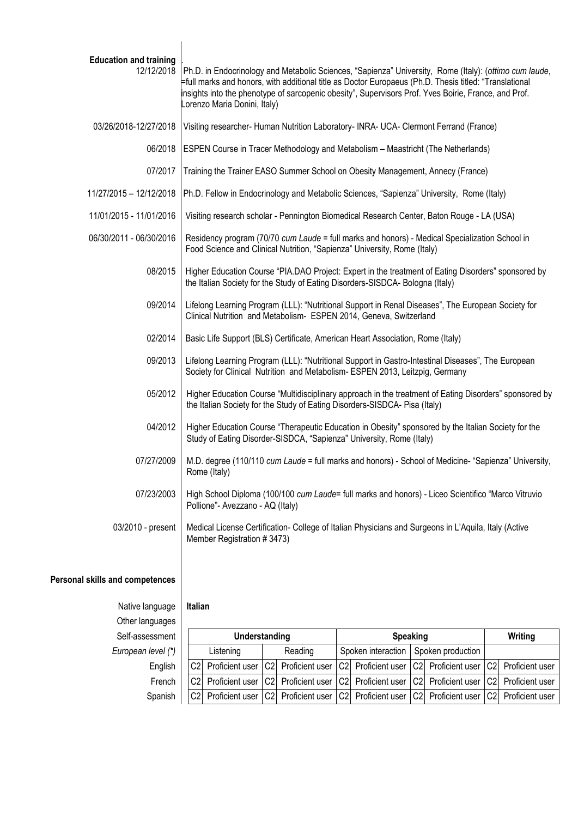| <b>Education and training</b><br>12/12/2018 | Ph.D. in Endocrinology and Metabolic Sciences, "Sapienza" University, Rome (Italy): (ottimo cum laude,<br>full marks and honors, with additional title as Doctor Europaeus (Ph.D. Thesis titled: "Translational<br>insights into the phenotype of sarcopenic obesity", Supervisors Prof. Yves Boirie, France, and Prof.<br>orenzo Maria Donini, Italy) |  |
|---------------------------------------------|--------------------------------------------------------------------------------------------------------------------------------------------------------------------------------------------------------------------------------------------------------------------------------------------------------------------------------------------------------|--|
| 03/26/2018-12/27/2018                       | Visiting researcher- Human Nutrition Laboratory- INRA- UCA- Clermont Ferrand (France)                                                                                                                                                                                                                                                                  |  |
| 06/2018                                     | ESPEN Course in Tracer Methodology and Metabolism - Maastricht (The Netherlands)                                                                                                                                                                                                                                                                       |  |
| 07/2017                                     | Training the Trainer EASO Summer School on Obesity Management, Annecy (France)                                                                                                                                                                                                                                                                         |  |
| 11/27/2015 - 12/12/2018                     | Ph.D. Fellow in Endocrinology and Metabolic Sciences, "Sapienza" University, Rome (Italy)                                                                                                                                                                                                                                                              |  |
| 11/01/2015 - 11/01/2016                     | Visiting research scholar - Pennington Biomedical Research Center, Baton Rouge - LA (USA)                                                                                                                                                                                                                                                              |  |
| 06/30/2011 - 06/30/2016                     | Residency program (70/70 cum Laude = full marks and honors) - Medical Specialization School in<br>Food Science and Clinical Nutrition, "Sapienza" University, Rome (Italy)                                                                                                                                                                             |  |
| 08/2015                                     | Higher Education Course "PIA.DAO Project: Expert in the treatment of Eating Disorders" sponsored by<br>the Italian Society for the Study of Eating Disorders-SISDCA- Bologna (Italy)                                                                                                                                                                   |  |
| 09/2014                                     | Lifelong Learning Program (LLL): "Nutritional Support in Renal Diseases", The European Society for<br>Clinical Nutrition and Metabolism- ESPEN 2014, Geneva, Switzerland                                                                                                                                                                               |  |
| 02/2014                                     | Basic Life Support (BLS) Certificate, American Heart Association, Rome (Italy)                                                                                                                                                                                                                                                                         |  |
| 09/2013                                     | Lifelong Learning Program (LLL): "Nutritional Support in Gastro-Intestinal Diseases", The European<br>Society for Clinical Nutrition and Metabolism- ESPEN 2013, Leitzpig, Germany                                                                                                                                                                     |  |
| 05/2012                                     | Higher Education Course "Multidisciplinary approach in the treatment of Eating Disorders" sponsored by<br>the Italian Society for the Study of Eating Disorders-SISDCA- Pisa (Italy)                                                                                                                                                                   |  |
| 04/2012                                     | Higher Education Course "Therapeutic Education in Obesity" sponsored by the Italian Society for the<br>Study of Eating Disorder-SISDCA, "Sapienza" University, Rome (Italy)                                                                                                                                                                            |  |
| 07/27/2009                                  | M.D. degree (110/110 cum Laude = full marks and honors) - School of Medicine- "Sapienza" University,<br>Rome (Italy)                                                                                                                                                                                                                                   |  |
| 07/23/2003                                  | High School Diploma (100/100 cum Laude= full marks and honors) - Liceo Scientifico "Marco Vitruvio<br>Pollione"- Avezzano - AQ (Italy)                                                                                                                                                                                                                 |  |
| 03/2010 - present                           | Medical License Certification- College of Italian Physicians and Surgeons in L'Aquila, Italy (Active<br>Member Registration #3473)                                                                                                                                                                                                                     |  |
|                                             |                                                                                                                                                                                                                                                                                                                                                        |  |

## **Personal skills and competences**

Native language **Italian**  Other languages

# Self-assessment **Understanding Speaking Writing** *European level (\*)* | Listening | Reading | Spoken interaction | Spoken production English  $\vert$   $\vert$  C2 Proficient user  $\vert$  C2 Proficient user  $\vert$  C2 Proficient user  $\vert$  C2 Proficient user  $\vert$  C2 Proficient user French  $\vert$   $\vert$  C2 Proficient user  $\vert$  C2 Proficient user  $\vert$  C2 Proficient user  $\vert$  C2 Proficient user  $\vert$  C2 Proficient user Spanish | C2 Proficient user C2 Proficient user C2 Proficient user C2 Proficient user C2 Proficient user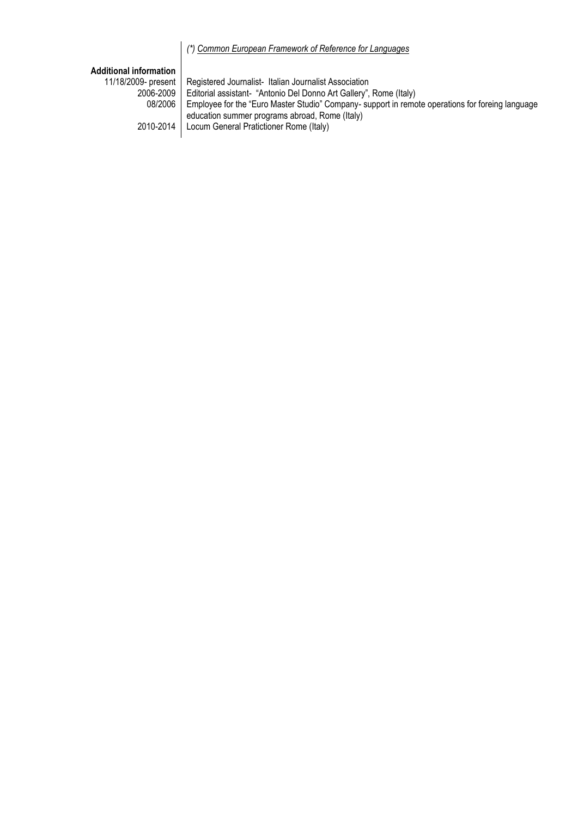## *(\*) [Common European Framework of Reference for Languages](http://europass.cedefop.europa.eu/LanguageSelfAssessmentGrid/en)*

## **Additional information**

|           | 11/18/2009- present   Registered Journalist- Italian Journalist Association                              |
|-----------|----------------------------------------------------------------------------------------------------------|
| 2006-2009 | Editorial assistant- "Antonio Del Donno Art Gallery", Rome (Italy)                                       |
|           | 08/2006 Employee for the "Euro Master Studio" Company- support in remote operations for foreing language |
|           | education summer programs abroad, Rome (Italy)                                                           |
|           | 2010-2014   Locum General Pratictioner Rome (Italy)                                                      |
|           |                                                                                                          |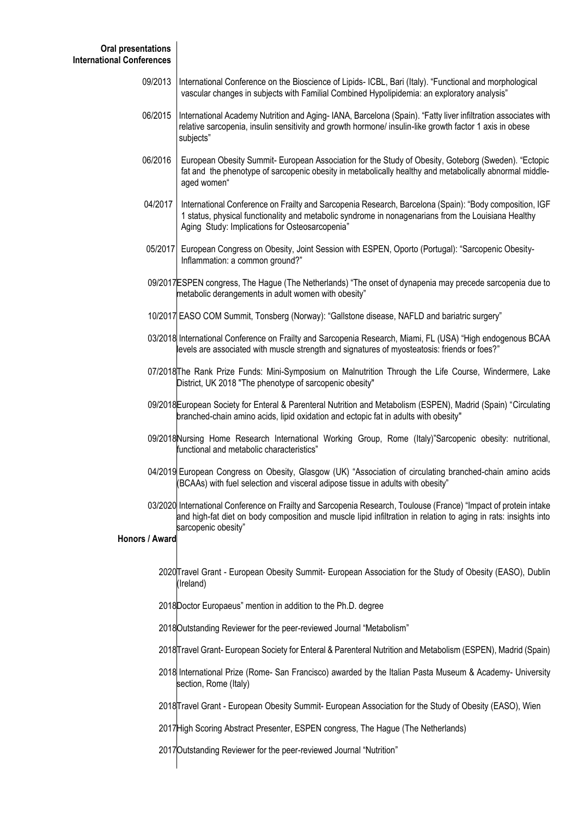| 09/2013  International Conference on the Bioscience of Lipids- ICBL, Bari (Italy). "Functional and morphological |
|------------------------------------------------------------------------------------------------------------------|
| vascular changes in subjects with Familial Combined Hypolipidemia: an exploratory analysis"                      |

- 06/2015 International Academy Nutrition and Aging- IANA, Barcelona (Spain). "Fatty liver infiltration associates with relative sarcopenia, insulin sensitivity and growth hormone/ insulin-like growth factor 1 axis in obese subjects"
- 06/2016 European Obesity Summit- European Association for the Study of Obesity, Goteborg (Sweden). "Ectopic fat and the phenotype of sarcopenic obesity in metabolically healthy and metabolically abnormal middle aged women"
- 04/2017 International Conference on Frailty and Sarcopenia Research, Barcelona (Spain): "Body composition, IGF 1 status, physical functionality and metabolic syndrome in nonagenarians from the Louisiana Healthy Aging Study: Implications for Osteosarcopenia"
- 05/2017 European Congress on Obesity, Joint Session with ESPEN, Oporto (Portugal): "Sarcopenic Obesity- Inflammation: a common ground?"
- 09/2017 ESPEN congress, The Hague (The Netherlands) "The onset of dynapenia may precede sarcopenia due to metabolic derangements in adult women with obesity"
- 10/2017 EASO COM Summit, Tonsberg (Norway): "Gallstone disease, NAFLD and bariatric surgery"
- 03/2018 International Conference on Frailty and Sarcopenia Research, Miami, FL (USA) "High endogenous BCAA levels are associated with muscle strength and signatures of myosteatosis: friends or foes?"
- 07/2018 The Rank Prize Funds: Mini-Symposium on Malnutrition Through the Life Course, Windermere, Lake District, UK 2018 "The phenotype of sarcopenic obesity"
- 09/2018 European Society for Enteral & Parenteral Nutrition and Metabolism (ESPEN), Madrid (Spain) "Circulating branched-chain amino acids, lipid oxidation and ectopic fat in adults with obesity"
- 09/2018 Nursing Home Research International Working Group, Rome (Italy)"Sarcopenic obesity: nutritional, functional and metabolic characteristics"
- 04/2019 European Congress on Obesity, Glasgow (UK) "Association of circulating branched-chain amino acids (BCAAs) with fuel selection and visceral adipose tissue in adults with obesity"
- 03/2020 International Conference on Frailty and Sarcopenia Research, Toulouse (France) "Impact of protein intake and high-fat diet on body composition and muscle lipid infiltration in relation to aging in rats: insights into sarcopenic obesity"

### **Honors / Award**

- 2020 Travel Grant European Obesity Summit- European Association for the Study of Obesity (EASO), Dublin (Ireland)
- 2018 Doctor Europaeus" mention in addition to the Ph.D. degree
- 2018 Outstanding Reviewer for the peer-reviewed Journal "Metabolism"
- 2018 Travel Grant- European Society for Enteral & Parenteral Nutrition and Metabolism (ESPEN), Madrid (Spain)
- 2018 International Prize (Rome- San Francisco) awarded by the Italian Pasta Museum & Academy- University section, Rome (Italy)
- 2018 Travel Grant European Obesity Summit- European Association for the Study of Obesity (EASO), Wien
- 2017 High Scoring Abstract Presenter, ESPEN congress, The Hague (The Netherlands)
- 2017 Outstanding Reviewer for the peer-reviewed Journal "Nutrition"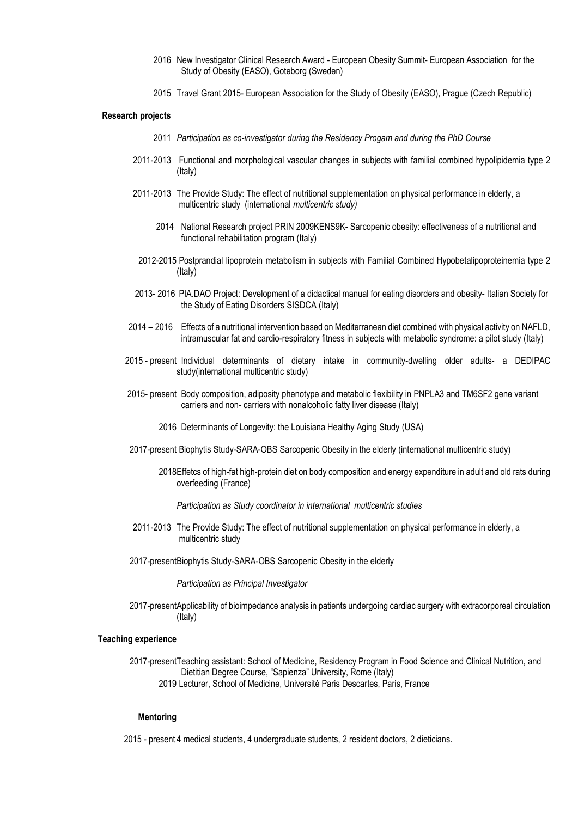- 2016 New Investigator Clinical Research Award - European Obesity Summit- European Association for the Study of Obesity (EASO), Goteborg (Sweden)
- 2015 Travel Grant 2015- European Association for the Study of Obesity (EASO), Prague (Czech Republic)

#### **Research projects**

- 2011 *Participation as co-investigator during the Residency Progam and during the PhD Course*
- 2011-2013 Functional and morphological vascular changes in subjects with familial combined hypolipidemia type 2 (Italy)
- 2011-2013 The Provide Study: The effect of nutritional supplementation on physical performance in elderly, a multicentric study (international *multicentric study)*
	- 2014 National Research project PRIN 2009KENS9K- Sarcopenic obesity: effectiveness of a nutritional and functional rehabilitation program (Italy)
- 2012-2015 Postprandial lipoprotein metabolism in subjects with Familial Combined Hypobetalipoproteinemia type 2 (Italy)
- 2013- 2016 PIA.DAO Project: Development of a didactical manual for eating disorders and obesity- Italian Society for the Study of Eating Disorders SISDCA (Italy)
- 2014 2016 Effects of a nutritional intervention based on Mediterranean diet combined with physical activity on NAFLD, intramuscular fat and cardio-respiratory fitness in subjects with metabolic syndrome: a pilot study (Italy)
- 2015 preser Individual determinants of dietary intake in community-dwelling older adults- a DEDIPAC study(international multicentric study)
- 2015- present Body composition, adiposity phenotype and metabolic flexibility in PNPLA3 and TM6SF2 gene variant carriers and non- carriers with nonalcoholic fatty liver disease (Italy)
	- 2016 Determinants of Longevity: the Louisiana Healthy Aging Study (USA)
- 2017-present Biophytis Study-SARA-OBS Sarcopenic Obesity in the elderly (international multicentric study)
	- 2018 Effetcs of high-fat high-protein diet on body composition and energy expenditure in adult and old rats during overfeeding (France)

*Participation as Study coordinator in international multicentric studies*

- 2011-2013 The Provide Study: The effect of nutritional supplementation on physical performance in elderly, a multicentric study
- 2017-present Biophytis Study-SARA-OBS Sarcopenic Obesity in the elderly

*Participation as Principal Investigator*

2017-present Applicability of bioimpedance analysis in patients undergoing cardiac surgery with extracorporeal circulation (Italy)

#### **Teaching experience**

2017-present∏eaching assistant: School of Medicine, Residency Program in Food Science and Clinical Nutrition, and 2019 Lecturer, School of Medicine, Université Paris Descartes, Paris, France Dietitian Degree Course, "Sapienza" University, Rome (Italy)

#### **Mentoring**

 $\overline{\phantom{a}}$ 

 $\overline{\phantom{a}}$ 

2015 - present 4 medical students, 4 undergraduate students, 2 resident doctors, 2 dieticians.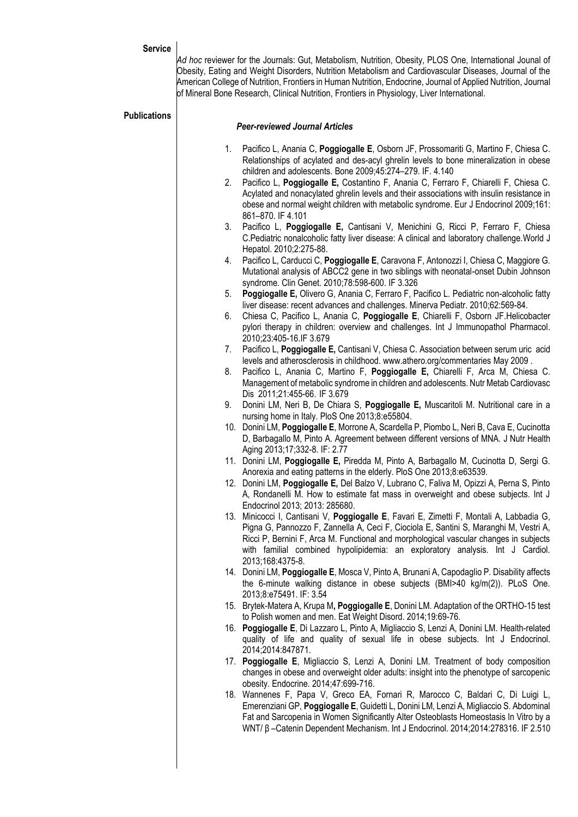## **Service**

**Publications**

*Ad hoc* reviewer for the Journals: Gut, Metabolism, Nutrition, Obesity, PLOS One, International Jounal of Obesity, Eating and Weight Disorders, Nutrition Metabolism and Cardiovascular Diseases, Journal of the American College of Nutrition, Frontiers in Human Nutrition, Endocrine, Journal of Applied Nutrition, Journal of Mineral Bone Research, Clinical Nutrition, Frontiers in Physiology, Liver International.

| ublications | <b>Peer-reviewed Journal Articles</b> |                                                                                                                                                                                                                                                                                                                                                                                 |  |
|-------------|---------------------------------------|---------------------------------------------------------------------------------------------------------------------------------------------------------------------------------------------------------------------------------------------------------------------------------------------------------------------------------------------------------------------------------|--|
|             | 1.                                    | Pacifico L, Anania C, Poggiogalle E, Osborn JF, Prossomariti G, Martino F, Chiesa C.<br>Relationships of acylated and des-acyl ghrelin levels to bone mineralization in obese<br>children and adolescents. Bone 2009;45:274-279. IF. 4.140                                                                                                                                      |  |
|             | 2.                                    | Pacifico L, Poggiogalle E, Costantino F, Anania C, Ferraro F, Chiarelli F, Chiesa C.<br>Acylated and nonacylated ghrelin levels and their associations with insulin resistance in<br>obese and normal weight children with metabolic syndrome. Eur J Endocrinol 2009;161:<br>861-870. IF 4.101                                                                                  |  |
|             | 3.                                    | Pacifico L, Poggiogalle E, Cantisani V, Menichini G, Ricci P, Ferraro F, Chiesa<br>C.Pediatric nonalcoholic fatty liver disease: A clinical and laboratory challenge. World J<br>Hepatol. 2010;2:275-88.                                                                                                                                                                        |  |
|             | 4.                                    | Pacifico L, Carducci C, Poggiogalle E, Caravona F, Antonozzi I, Chiesa C, Maggiore G.<br>Mutational analysis of ABCC2 gene in two siblings with neonatal-onset Dubin Johnson<br>syndrome. Clin Genet. 2010;78:598-600. IF 3.326                                                                                                                                                 |  |
|             | 5.                                    | Poggiogalle E, Olivero G, Anania C, Ferraro F, Pacifico L. Pediatric non-alcoholic fatty<br>liver disease: recent advances and challenges. Minerva Pediatr. 2010;62:569-84.                                                                                                                                                                                                     |  |
|             | 6.                                    | Chiesa C, Pacifico L, Anania C, Poggiogalle E, Chiarelli F, Osborn JF.Helicobacter<br>pylori therapy in children: overview and challenges. Int J Immunopathol Pharmacol.<br>2010;23:405-16.IF 3.679                                                                                                                                                                             |  |
|             | 7.                                    | Pacifico L, Poggiogalle E, Cantisani V, Chiesa C. Association between serum uric acid<br>levels and atherosclerosis in childhood. www.athero.org/commentaries May 2009.                                                                                                                                                                                                         |  |
|             | 8.                                    | Pacifico L, Anania C, Martino F, Poggiogalle E, Chiarelli F, Arca M, Chiesa C.<br>Management of metabolic syndrome in children and adolescents. Nutr Metab Cardiovasc<br>Dis 2011;21:455-66. IF 3.679                                                                                                                                                                           |  |
|             | 9.                                    | Donini LM, Neri B, De Chiara S, Poggiogalle E, Muscaritoli M. Nutritional care in a<br>nursing home in Italy. PloS One 2013;8:e55804.                                                                                                                                                                                                                                           |  |
|             |                                       | 10. Donini LM, Poggiogalle E, Morrone A, Scardella P, Piombo L, Neri B, Cava E, Cucinotta<br>D, Barbagallo M, Pinto A. Agreement between different versions of MNA. J Nutr Health<br>Aging 2013;17;332-8. IF: 2.77                                                                                                                                                              |  |
|             |                                       | 11. Donini LM, Poggiogalle E, Piredda M, Pinto A, Barbagallo M, Cucinotta D, Sergi G.<br>Anorexia and eating patterns in the elderly. PloS One 2013;8:e63539.                                                                                                                                                                                                                   |  |
|             |                                       | 12. Donini LM, Poggiogalle E, Del Balzo V, Lubrano C, Faliva M, Opizzi A, Perna S, Pinto<br>A, Rondanelli M. How to estimate fat mass in overweight and obese subjects. Int J<br>Endocrinol 2013; 2013: 285680.                                                                                                                                                                 |  |
|             |                                       | 13. Minicocci I, Cantisani V, Poggiogalle E, Favari E, Zimetti F, Montali A, Labbadia G,<br>Pigna G, Pannozzo F, Zannella A, Ceci F, Ciociola E, Santini S, Maranghi M, Vestri A,<br>Ricci P, Bernini F, Arca M. Functional and morphological vascular changes in subjects<br>with familial combined hypolipidemia: an exploratory analysis. Int J Cardiol.<br>2013;168:4375-8. |  |
|             |                                       | 14. Donini LM, Poggiogalle E, Mosca V, Pinto A, Brunani A, Capodaglio P. Disability affects<br>the 6-minute walking distance in obese subjects (BMI>40 kg/m(2)). PLoS One.<br>2013;8:e75491. IF: 3.54                                                                                                                                                                           |  |
|             |                                       | 15. Brytek-Matera A, Krupa M, Poggiogalle E, Donini LM. Adaptation of the ORTHO-15 test<br>to Polish women and men. Eat Weight Disord. 2014;19:69-76.                                                                                                                                                                                                                           |  |
|             |                                       | 16. Poggiogalle E, Di Lazzaro L, Pinto A, Migliaccio S, Lenzi A, Donini LM. Health-related<br>quality of life and quality of sexual life in obese subjects. Int J Endocrinol.<br>2014;2014:847871.                                                                                                                                                                              |  |
|             |                                       | 17. Poggiogalle E, Migliaccio S, Lenzi A, Donini LM. Treatment of body composition<br>changes in obese and overweight older adults: insight into the phenotype of sarcopenic<br>obesity. Endocrine. 2014;47:699-716.                                                                                                                                                            |  |
|             |                                       | 18. Wannenes F, Papa V, Greco EA, Fornari R, Marocco C, Baldari C, Di Luigi L,<br>Emerenziani GP, Poggiogalle E, Guidetti L, Donini LM, Lenzi A, Migliaccio S. Abdominal<br>Fat and Sarcopenia in Women Significantly Alter Osteoblasts Homeostasis In Vitro by a<br>WNT/ β-Catenin Dependent Mechanism. Int J Endocrinol. 2014;2014:278316. IF 2.510                           |  |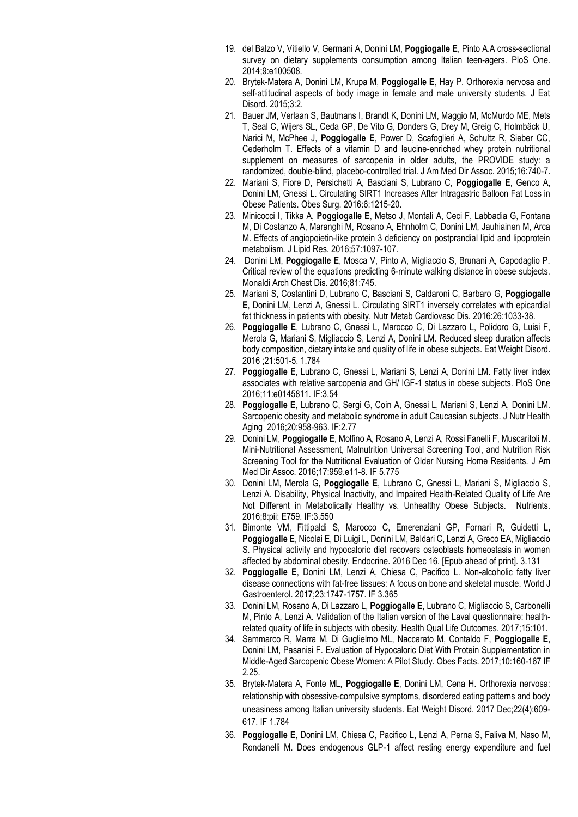|     | 19. del Balzo V, Vitiello V, Germani A, Donini LM, Poggiogalle E, Pinto A.A cross-sectional                                                                                                                                                                                                                                                            |
|-----|--------------------------------------------------------------------------------------------------------------------------------------------------------------------------------------------------------------------------------------------------------------------------------------------------------------------------------------------------------|
|     | survey on dietary supplements consumption among Italian teen-agers. PloS One.<br>2014;9:e100508.                                                                                                                                                                                                                                                       |
| 20. | Brytek-Matera A, Donini LM, Krupa M, Poggiogalle E, Hay P. Orthorexia nervosa and<br>self-attitudinal aspects of body image in female and male university students. J Eat                                                                                                                                                                              |
|     | Disord. 2015;3:2.<br>Bauer JM, Verlaan S, Bautmans I, Brandt K, Donini LM, Maggio M, McMurdo ME, Mets                                                                                                                                                                                                                                                  |
| 21. | T, Seal C, Wijers SL, Ceda GP, De Vito G, Donders G, Drey M, Greig C, Holmbäck U,<br>Narici M, McPhee J, Poggiogalle E, Power D, Scafoglieri A, Schultz R, Sieber CC,                                                                                                                                                                                  |
|     | Cederholm T. Effects of a vitamin D and leucine-enriched whey protein nutritional<br>supplement on measures of sarcopenia in older adults, the PROVIDE study: a<br>randomized, double-blind, placebo-controlled trial. J Am Med Dir Assoc. 2015;16:740-7.                                                                                              |
| 22. | Mariani S, Fiore D, Persichetti A, Basciani S, Lubrano C, Poggiogalle E, Genco A,<br>Donini LM, Gnessi L. Circulating SIRT1 Increases After Intragastric Balloon Fat Loss in<br>Obese Patients. Obes Surg. 2016:6:1215-20.                                                                                                                             |
| 23. | Minicocci I, Tikka A, Poggiogalle E, Metso J, Montali A, Ceci F, Labbadia G, Fontana<br>M, Di Costanzo A, Maranghi M, Rosano A, Ehnholm C, Donini LM, Jauhiainen M, Arca<br>M. Effects of angiopoietin-like protein 3 deficiency on postprandial lipid and lipoprotein<br>metabolism. J Lipid Res. 2016;57:1097-107.                                   |
| 24. | Donini LM, Poggiogalle E, Mosca V, Pinto A, Migliaccio S, Brunani A, Capodaglio P.<br>Critical review of the equations predicting 6-minute walking distance in obese subjects.<br>Monaldi Arch Chest Dis. 2016;81:745.                                                                                                                                 |
| 25. | Mariani S, Costantini D, Lubrano C, Basciani S, Caldaroni C, Barbaro G, Poggiogalle<br>E, Donini LM, Lenzi A, Gnessi L. Circulating SIRT1 inversely correlates with epicardial<br>fat thickness in patients with obesity. Nutr Metab Cardiovasc Dis. 2016:26:1033-38.                                                                                  |
| 26. | Poggiogalle E, Lubrano C, Gnessi L, Marocco C, Di Lazzaro L, Polidoro G, Luisi F,<br>Merola G, Mariani S, Migliaccio S, Lenzi A, Donini LM. Reduced sleep duration affects<br>body composition, dietary intake and quality of life in obese subjects. Eat Weight Disord.<br>2016; 21:501-5. 1.784                                                      |
| 27. | Poggiogalle E, Lubrano C, Gnessi L, Mariani S, Lenzi A, Donini LM. Fatty liver index<br>associates with relative sarcopenia and GH/ IGF-1 status in obese subjects. PloS One<br>2016;11:e0145811. IF:3.54                                                                                                                                              |
|     | 28. Poggiogalle E, Lubrano C, Sergi G, Coin A, Gnessi L, Mariani S, Lenzi A, Donini LM.<br>Sarcopenic obesity and metabolic syndrome in adult Caucasian subjects. J Nutr Health<br>Aging 2016;20:958-963. IF:2.77                                                                                                                                      |
|     | 29. Donini LM, Poggiogalle E, Molfino A, Rosano A, Lenzi A, Rossi Fanelli F, Muscaritoli M.<br>Mini-Nutritional Assessment, Malnutrition Universal Screening Tool, and Nutrition Risk<br>Screening Tool for the Nutritional Evaluation of Older Nursing Home Residents. J Am<br>Med Dir Assoc. 2016;17:959.e11-8. IF 5.775                             |
|     | 30. Donini LM, Merola G, Poggiogalle E, Lubrano C, Gnessi L, Mariani S, Migliaccio S,<br>Lenzi A. Disability, Physical Inactivity, and Impaired Health-Related Quality of Life Are<br>Not Different in Metabolically Healthy vs. Unhealthy Obese Subjects.<br>Nutrients.<br>2016;8:pii: E759. IF:3.550                                                 |
| 31. | Bimonte VM, Fittipaldi S, Marocco C, Emerenziani GP, Fornari R, Guidetti L,<br>Poggiogalle E, Nicolai E, Di Luigi L, Donini LM, Baldari C, Lenzi A, Greco EA, Migliaccio<br>S. Physical activity and hypocaloric diet recovers osteoblasts homeostasis in women<br>affected by abdominal obesity. Endocrine. 2016 Dec 16. [Epub ahead of print]. 3.131 |
| 32. | Poggiogalle E, Donini LM, Lenzi A, Chiesa C, Pacifico L. Non-alcoholic fatty liver<br>disease connections with fat-free tissues: A focus on bone and skeletal muscle. World J<br>Gastroenterol. 2017;23:1747-1757. IF 3.365                                                                                                                            |
| 33. | Donini LM, Rosano A, Di Lazzaro L, Poggiogalle E, Lubrano C, Migliaccio S, Carbonelli<br>M, Pinto A, Lenzi A. Validation of the Italian version of the Laval questionnaire: health-<br>related quality of life in subjects with obesity. Health Qual Life Outcomes. 2017;15:101.                                                                       |
| 34. | Sammarco R, Marra M, Di Guglielmo ML, Naccarato M, Contaldo F, Poggiogalle E,<br>Donini LM, Pasanisi F. Evaluation of Hypocaloric Diet With Protein Supplementation in<br>Middle-Aged Sarcopenic Obese Women: A Pilot Study. Obes Facts. 2017;10:160-167 IF<br>2.25.                                                                                   |
|     | 35. Brytek-Matera A, Fonte ML, Poggiogalle E, Donini LM, Cena H. Orthorexia nervosa:                                                                                                                                                                                                                                                                   |
|     | relationship with obsessive-compulsive symptoms, disordered eating patterns and body<br>uneasiness among Italian university students. Eat Weight Disord. 2017 Dec; 22(4):609-<br>617. IF 1.784                                                                                                                                                         |
| 36. | Poggiogalle E, Donini LM, Chiesa C, Pacifico L, Lenzi A, Perna S, Faliva M, Naso M,<br>Rondanelli M. Does endogenous GLP-1 affect resting energy expenditure and fuel                                                                                                                                                                                  |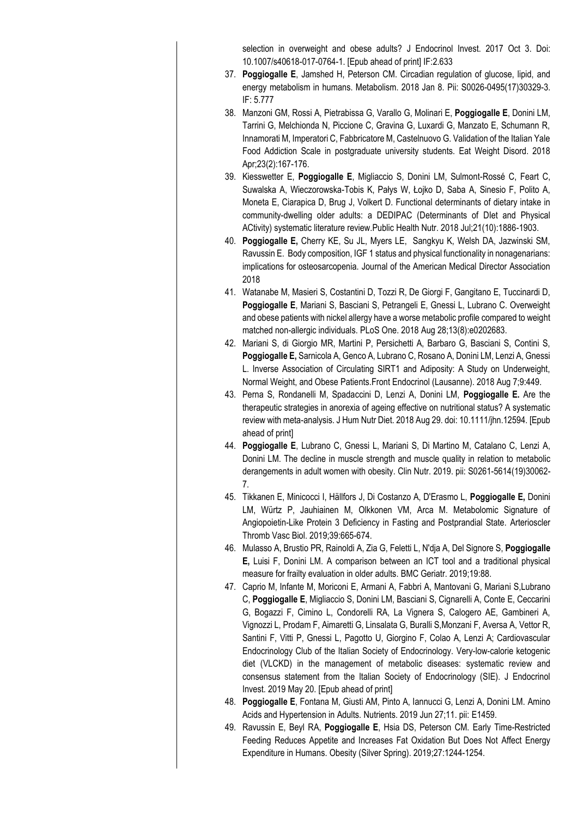selection in overweight and obese adults? J Endocrinol Invest. 2017 Oct 3. Doi: 10.1007/s40618-017-0764-1. [Epub ahead of print] IF:2.633

- 37. **Poggiogalle E**, Jamshed H, Peterson CM. Circadian regulation of glucose, lipid, and energy metabolism in humans. Metabolism. 2018 Jan 8. Pii: S0026-0495(17)30329-3. IF: 5.777
- 38. Manzoni GM, Rossi A, Pietrabissa G, Varallo G, Molinari E, **Poggiogalle E**, Donini LM, Tarrini G, Melchionda N, Piccione C, Gravina G, Luxardi G, Manzato E, Schumann R, Innamorati M, Imperatori C, Fabbricatore M, Castelnuovo G. Validation of the Italian Yale Food Addiction Scale in postgraduate university students. Eat Weight Disord. 2018 Apr;23(2):167-176.
- 39. Kiesswetter E, **Poggiogalle E**, Migliaccio S, Donini LM, Sulmont-Rossé C, Feart C, Suwalska A, Wieczorowska-Tobis K, Pałys W, Łojko D, Saba A, Sinesio F, Polito A, Moneta E, Ciarapica D, Brug J, Volkert D. Functional determinants of dietary intake in community-dwelling older adults: a DEDIPAC (Determinants of DIet and Physical ACtivity) systematic literature review.Public Health Nutr. 2018 Jul;21(10):1886-1903.
- 40. **Poggiogalle E,** Cherry KE, Su JL, Myers LE, Sangkyu K, Welsh DA, Jazwinski SM, Ravussin E. Body composition, IGF 1 status and physical functionality in nonagenarians: implications for osteosarcopenia. Journal of the American Medical Director Association 2018
- 41. Watanabe M, Masieri S, Costantini D, Tozzi R, De Giorgi F, Gangitano E, Tuccinardi D, **Poggiogalle E**, Mariani S, Basciani S, Petrangeli E, Gnessi L, Lubrano C. Overweight and obese patients with nickel allergy have a worse metabolic profile compared to weight matched non-allergic individuals. PLoS One. 2018 Aug 28;13(8):e0202683.
- 42. Mariani S, di Giorgio MR, Martini P, Persichetti A, Barbaro G, Basciani S, Contini S, **Poggiogalle E,** Sarnicola A, Genco A, Lubrano C, Rosano A, Donini LM, Lenzi A, Gnessi L. Inverse Association of Circulating SIRT1 and Adiposity: A Study on Underweight, Normal Weight, and Obese Patients.Front Endocrinol (Lausanne). 2018 Aug 7;9:449.
- 43. Perna S, Rondanelli M, Spadaccini D, Lenzi A, Donini LM, **Poggiogalle E.** Are the therapeutic strategies in anorexia of ageing effective on nutritional status? A systematic review with meta-analysis. J Hum Nutr Diet. 2018 Aug 29. doi: 10.1111/jhn.12594. [Epub ahead of print]
- 44. **Poggiogalle E**, Lubrano C, Gnessi L, Mariani S, Di Martino M, Catalano C, Lenzi A, Donini LM. The decline in muscle strength and muscle quality in relation to metabolic derangements in adult women with obesity. Clin Nutr. 2019. pii: S0261-5614(19)30062- 7.
- 45. Tikkanen E, Minicocci I, Hällfors J, Di Costanzo A, D'Erasmo L, **Poggiogalle E,** Donini LM, Würtz P, Jauhiainen M, Olkkonen VM, Arca M. Metabolomic Signature of Angiopoietin-Like Protein 3 Deficiency in Fasting and Postprandial State. Arterioscler Thromb Vasc Biol. 2019;39:665-674.
- 46. Mulasso A, Brustio PR, Rainoldi A, Zia G, Feletti L, N'dja A, Del Signore S, **Poggiogalle E,** Luisi F, Donini LM. A comparison between an ICT tool and a traditional physical measure for frailty evaluation in older adults. BMC Geriatr. 2019;19:88.
- 47. Caprio M, Infante M, Moriconi E, Armani A, Fabbri A, Mantovani G, Mariani S,Lubrano C, **Poggiogalle E**, Migliaccio S, Donini LM, Basciani S, Cignarelli A, Conte E, Ceccarini G, Bogazzi F, Cimino L, Condorelli RA, La Vignera S, Calogero AE, Gambineri A, Vignozzi L, Prodam F, Aimaretti G, Linsalata G, Buralli S,Monzani F, Aversa A, Vettor R, Santini F, Vitti P, Gnessi L, Pagotto U, Giorgino F, Colao A, Lenzi A; Cardiovascular Endocrinology Club of the Italian Society of Endocrinology. Very-low-calorie ketogenic diet (VLCKD) in the management of metabolic diseases: systematic review and consensus statement from the Italian Society of Endocrinology (SIE). J Endocrinol Invest. 2019 May 20. [Epub ahead of print]
- 48. **Poggiogalle E**, Fontana M, Giusti AM, Pinto A, Iannucci G, Lenzi A, Donini LM. Amino Acids and Hypertension in Adults. Nutrients. 2019 Jun 27;11. pii: E1459.
- 49. Ravussin E, Beyl RA, **Poggiogalle E**, Hsia DS, Peterson CM. Early Time-Restricted Feeding Reduces Appetite and Increases Fat Oxidation But Does Not Affect Energy Expenditure in Humans. Obesity (Silver Spring). 2019;27:1244-1254.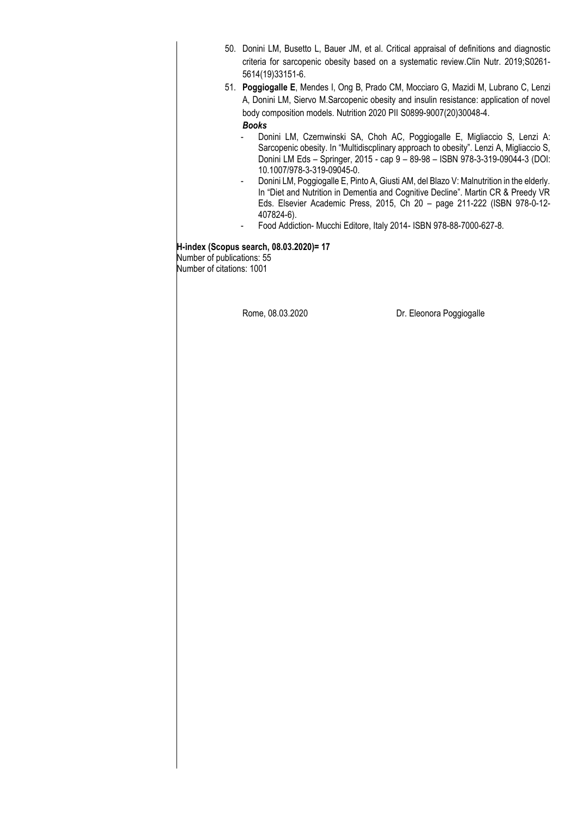|                                                         | 50. Donini LM, Busetto L, Bauer JM, et al. Critical appraisal of definitions and diagnostic<br>criteria for sarcopenic obesity based on a systematic review.Clin Nutr. 2019;S0261-<br>5614(19)33151-6. |                                                                                                                                                                                                                                                                                                                                                |
|---------------------------------------------------------|--------------------------------------------------------------------------------------------------------------------------------------------------------------------------------------------------------|------------------------------------------------------------------------------------------------------------------------------------------------------------------------------------------------------------------------------------------------------------------------------------------------------------------------------------------------|
|                                                         | <b>Books</b>                                                                                                                                                                                           | 51. Poggiogalle E, Mendes I, Ong B, Prado CM, Mocciaro G, Mazidi M, Lubrano C, Lenzi<br>A, Donini LM, Siervo M.Sarcopenic obesity and insulin resistance: application of novel<br>body composition models. Nutrition 2020 PII S0899-9007(20)30048-4.                                                                                           |
|                                                         | 10.1007/978-3-319-09045-0.<br>۰.                                                                                                                                                                       | Donini LM, Czernwinski SA, Choh AC, Poggiogalle E, Migliaccio S, Lenzi A:<br>Sarcopenic obesity. In "Multidiscplinary approach to obesity". Lenzi A, Migliaccio S,<br>Donini LM Eds - Springer, 2015 - cap 9 - 89-98 - ISBN 978-3-319-09044-3 (DOI:<br>Donini LM, Poggiogalle E, Pinto A, Giusti AM, del Blazo V: Malnutrition in the elderly. |
|                                                         | 407824-6).                                                                                                                                                                                             | In "Diet and Nutrition in Dementia and Cognitive Decline". Martin CR & Preedy VR<br>Eds. Elsevier Academic Press, 2015, Ch 20 - page 211-222 (ISBN 978-0-12-<br>Food Addiction- Mucchi Editore, Italy 2014- ISBN 978-88-7000-627-8.                                                                                                            |
| Number of publications: 55<br>Number of citations: 1001 | H-index (Scopus search, 08.03.2020)= 17                                                                                                                                                                |                                                                                                                                                                                                                                                                                                                                                |
|                                                         | Rome, 08.03.2020                                                                                                                                                                                       | Dr. Eleonora Poggiogalle                                                                                                                                                                                                                                                                                                                       |
|                                                         |                                                                                                                                                                                                        |                                                                                                                                                                                                                                                                                                                                                |
|                                                         |                                                                                                                                                                                                        |                                                                                                                                                                                                                                                                                                                                                |
|                                                         |                                                                                                                                                                                                        |                                                                                                                                                                                                                                                                                                                                                |
|                                                         |                                                                                                                                                                                                        |                                                                                                                                                                                                                                                                                                                                                |
|                                                         |                                                                                                                                                                                                        |                                                                                                                                                                                                                                                                                                                                                |
|                                                         |                                                                                                                                                                                                        |                                                                                                                                                                                                                                                                                                                                                |